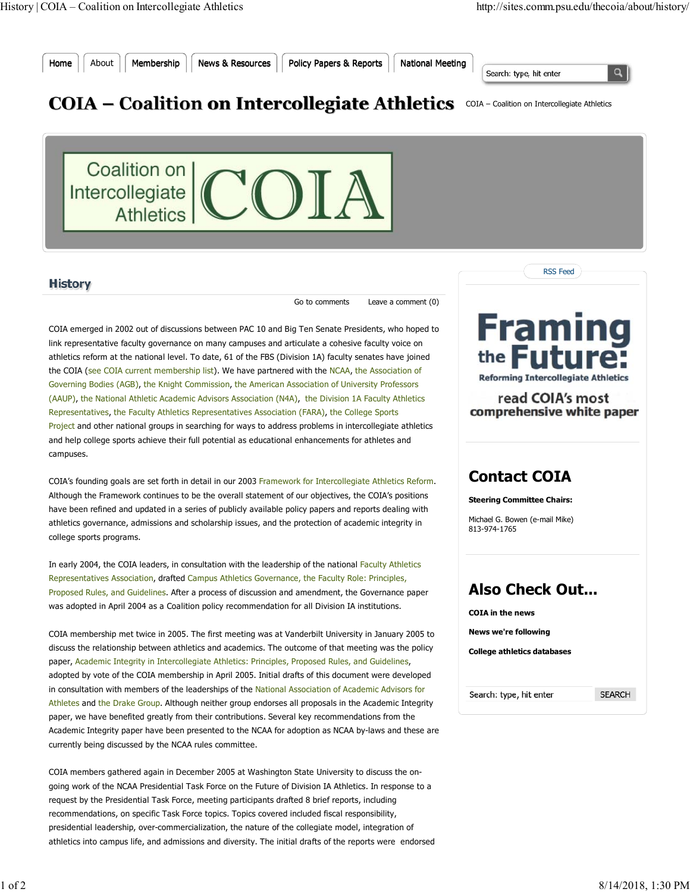

Home | About | Membership | News & Resources | Policy Papers & Reports | National Meeting

Search: type, hit enter



## COIA – Coalition on Intercollegiate Athletics COIA – Coalition on Intercollegiate Athletics



## **History**

Go to comments Leave a comment (0)

COIA emerged in 2002 out of discussions between PAC 10 and Big Ten Senate Presidents, who hoped to link representative faculty governance on many campuses and articulate a cohesive faculty voice on athletics reform at the national level. To date, 61 of the FBS (Division 1A) faculty senates have joined the COIA (see COIA current membership list). We have partnered with the NCAA, the Association of Governing Bodies (AGB), the Knight Commission, the American Association of University Professors (AAUP), the National Athletic Academic Advisors Association (N4A), the Division 1A Faculty Athletics Representatives, the Faculty Athletics Representatives Association (FARA), the College Sports Project and other national groups in searching for ways to address problems in intercollegiate athletics and help college sports achieve their full potential as educational enhancements for athletes and campuses.

COIA's founding goals are set forth in detail in our 2003 Framework for Intercollegiate Athletics Reform. Although the Framework continues to be the overall statement of our objectives, the COIA's positions have been refined and updated in a series of publicly available policy papers and reports dealing with athletics governance, admissions and scholarship issues, and the protection of academic integrity in college sports programs.

In early 2004, the COIA leaders, in consultation with the leadership of the national Faculty Athletics Representatives Association, drafted Campus Athletics Governance, the Faculty Role: Principles, Proposed Rules, and Guidelines. After a process of discussion and amendment, the Governance paper was adopted in April 2004 as a Coalition policy recommendation for all Division IA institutions.

COIA membership met twice in 2005. The first meeting was at Vanderbilt University in January 2005 to discuss the relationship between athletics and academics. The outcome of that meeting was the policy paper, Academic Integrity in Intercollegiate Athletics: Principles, Proposed Rules, and Guidelines, adopted by vote of the COIA membership in April 2005. Initial drafts of this document were developed in consultation with members of the leaderships of the National Association of Academic Advisors for Athletes and the Drake Group. Although neither group endorses all proposals in the Academic Integrity paper, we have benefited greatly from their contributions. Several key recommendations from the Academic Integrity paper have been presented to the NCAA for adoption as NCAA by-laws and these are currently being discussed by the NCAA rules committee.

COIA members gathered again in December 2005 at Washington State University to discuss the ongoing work of the NCAA Presidential Task Force on the Future of Division IA Athletics. In response to a request by the Presidential Task Force, meeting participants drafted 8 brief reports, including recommendations, on specific Task Force topics. Topics covered included fiscal responsibility, presidential leadership, over-commercialization, the nature of the collegiate model, integration of athletics into campus life, and admissions and diversity. The initial drafts of the reports were endorsed



RSS Feed



read COIA's most

comprehensive white paper

## **Contact COIA**

**Steering Committee Chairs:**

Michael G. Bowen (e-mail Mike) 813-974-1765

## **Also Check Out...**

**COIA in the news News we're following College athletics databases**

Search: type, hit enter

**SEARCH**